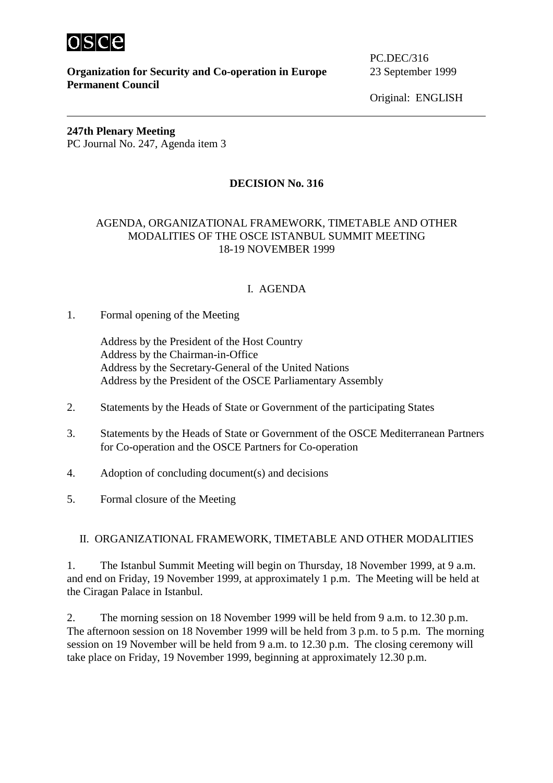

**Organization for Security and Co-operation in Europe** 23 September 1999 **Permanent Council** 

PC.DEC/316

Original: ENGLISH

**247th Plenary Meeting** PC Journal No. 247, Agenda item 3

# **DECISION No. 316**

## AGENDA, ORGANIZATIONAL FRAMEWORK, TIMETABLE AND OTHER MODALITIES OF THE OSCE ISTANBUL SUMMIT MEETING 18-19 NOVEMBER 1999

# I. AGENDA

## 1. Formal opening of the Meeting

 Address by the President of the Host Country Address by the Chairman-in-Office Address by the Secretary-General of the United Nations Address by the President of the OSCE Parliamentary Assembly

- 2. Statements by the Heads of State or Government of the participating States
- 3. Statements by the Heads of State or Government of the OSCE Mediterranean Partners for Co-operation and the OSCE Partners for Co-operation
- 4. Adoption of concluding document(s) and decisions
- 5. Formal closure of the Meeting

## II. ORGANIZATIONAL FRAMEWORK, TIMETABLE AND OTHER MODALITIES

1. The Istanbul Summit Meeting will begin on Thursday, 18 November 1999, at 9 a.m. and end on Friday, 19 November 1999, at approximately 1 p.m. The Meeting will be held at the Ciragan Palace in Istanbul.

2. The morning session on 18 November 1999 will be held from 9 a.m. to 12.30 p.m. The afternoon session on 18 November 1999 will be held from 3 p.m. to 5 p.m. The morning session on 19 November will be held from 9 a.m. to 12.30 p.m. The closing ceremony will take place on Friday, 19 November 1999, beginning at approximately 12.30 p.m.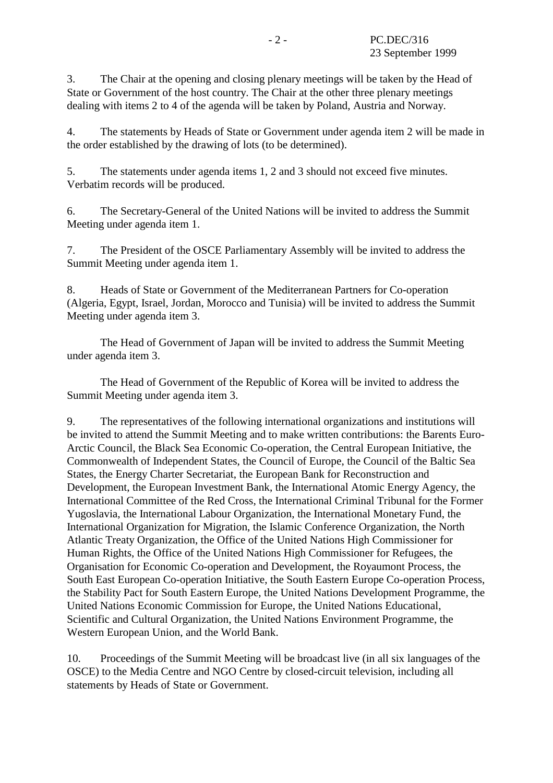3. The Chair at the opening and closing plenary meetings will be taken by the Head of State or Government of the host country. The Chair at the other three plenary meetings dealing with items 2 to 4 of the agenda will be taken by Poland, Austria and Norway.

4. The statements by Heads of State or Government under agenda item 2 will be made in the order established by the drawing of lots (to be determined).

5. The statements under agenda items 1, 2 and 3 should not exceed five minutes. Verbatim records will be produced.

6. The Secretary-General of the United Nations will be invited to address the Summit Meeting under agenda item 1.

7. The President of the OSCE Parliamentary Assembly will be invited to address the Summit Meeting under agenda item 1.

8. Heads of State or Government of the Mediterranean Partners for Co-operation (Algeria, Egypt, Israel, Jordan, Morocco and Tunisia) will be invited to address the Summit Meeting under agenda item 3.

 The Head of Government of Japan will be invited to address the Summit Meeting under agenda item 3.

 The Head of Government of the Republic of Korea will be invited to address the Summit Meeting under agenda item 3.

9. The representatives of the following international organizations and institutions will be invited to attend the Summit Meeting and to make written contributions: the Barents Euro-Arctic Council, the Black Sea Economic Co-operation, the Central European Initiative, the Commonwealth of Independent States, the Council of Europe, the Council of the Baltic Sea States, the Energy Charter Secretariat, the European Bank for Reconstruction and Development, the European Investment Bank, the International Atomic Energy Agency, the International Committee of the Red Cross, the International Criminal Tribunal for the Former Yugoslavia, the International Labour Organization, the International Monetary Fund, the International Organization for Migration, the Islamic Conference Organization, the North Atlantic Treaty Organization, the Office of the United Nations High Commissioner for Human Rights, the Office of the United Nations High Commissioner for Refugees, the Organisation for Economic Co-operation and Development, the Royaumont Process, the South East European Co-operation Initiative, the South Eastern Europe Co-operation Process, the Stability Pact for South Eastern Europe, the United Nations Development Programme, the United Nations Economic Commission for Europe, the United Nations Educational, Scientific and Cultural Organization, the United Nations Environment Programme, the Western European Union*,* and the World Bank.

10. Proceedings of the Summit Meeting will be broadcast live (in all six languages of the OSCE) to the Media Centre and NGO Centre by closed-circuit television, including all statements by Heads of State or Government.